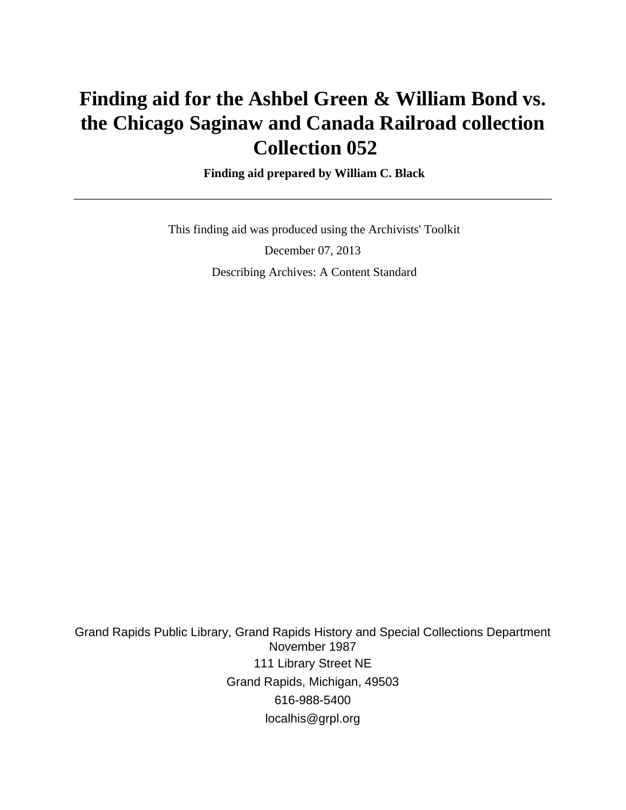# **Finding aid for the Ashbel Green & William Bond vs. the Chicago Saginaw and Canada Railroad collection Collection 052**

 **Finding aid prepared by William C. Black**

 This finding aid was produced using the Archivists' Toolkit December 07, 2013 Describing Archives: A Content Standard

Grand Rapids Public Library, Grand Rapids History and Special Collections Department November 1987 111 Library Street NE Grand Rapids, Michigan, 49503 616-988-5400 localhis@grpl.org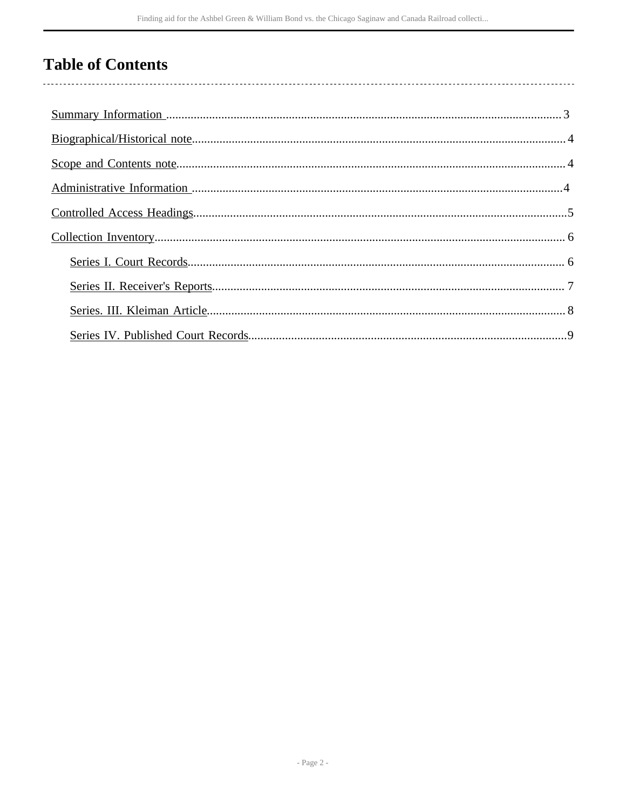## **Table of Contents**

l,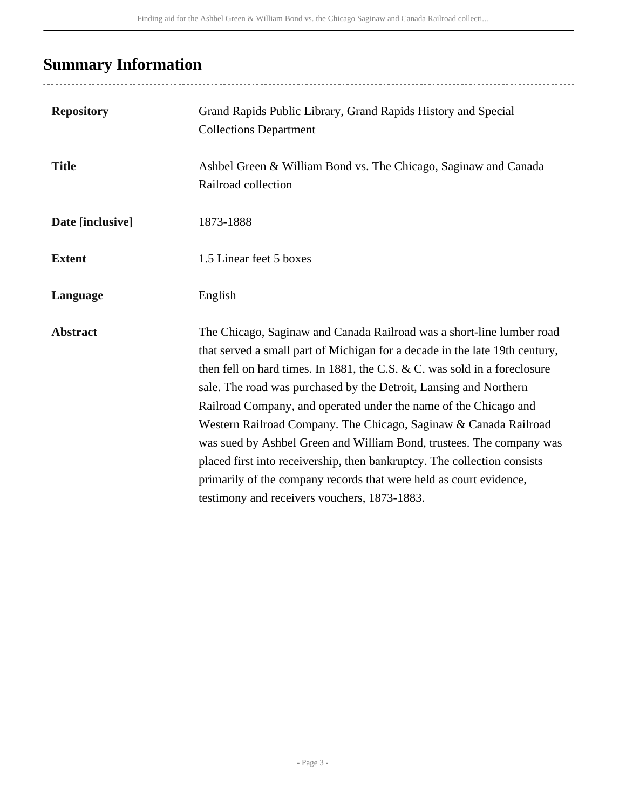## <span id="page-2-0"></span>**Summary Information**

| <b>Repository</b> | Grand Rapids Public Library, Grand Rapids History and Special<br><b>Collections Department</b>                                                                                                                                                                                                                                                                                                                                                                                                                                                                                                                                                                                                                           |
|-------------------|--------------------------------------------------------------------------------------------------------------------------------------------------------------------------------------------------------------------------------------------------------------------------------------------------------------------------------------------------------------------------------------------------------------------------------------------------------------------------------------------------------------------------------------------------------------------------------------------------------------------------------------------------------------------------------------------------------------------------|
| <b>Title</b>      | Ashbel Green & William Bond vs. The Chicago, Saginaw and Canada<br>Railroad collection                                                                                                                                                                                                                                                                                                                                                                                                                                                                                                                                                                                                                                   |
| Date [inclusive]  | 1873-1888                                                                                                                                                                                                                                                                                                                                                                                                                                                                                                                                                                                                                                                                                                                |
| <b>Extent</b>     | 1.5 Linear feet 5 boxes                                                                                                                                                                                                                                                                                                                                                                                                                                                                                                                                                                                                                                                                                                  |
| Language          | English                                                                                                                                                                                                                                                                                                                                                                                                                                                                                                                                                                                                                                                                                                                  |
| <b>Abstract</b>   | The Chicago, Saginaw and Canada Railroad was a short-line lumber road<br>that served a small part of Michigan for a decade in the late 19th century,<br>then fell on hard times. In 1881, the C.S. & C. was sold in a foreclosure<br>sale. The road was purchased by the Detroit, Lansing and Northern<br>Railroad Company, and operated under the name of the Chicago and<br>Western Railroad Company. The Chicago, Saginaw & Canada Railroad<br>was sued by Ashbel Green and William Bond, trustees. The company was<br>placed first into receivership, then bankruptcy. The collection consists<br>primarily of the company records that were held as court evidence,<br>testimony and receivers vouchers, 1873-1883. |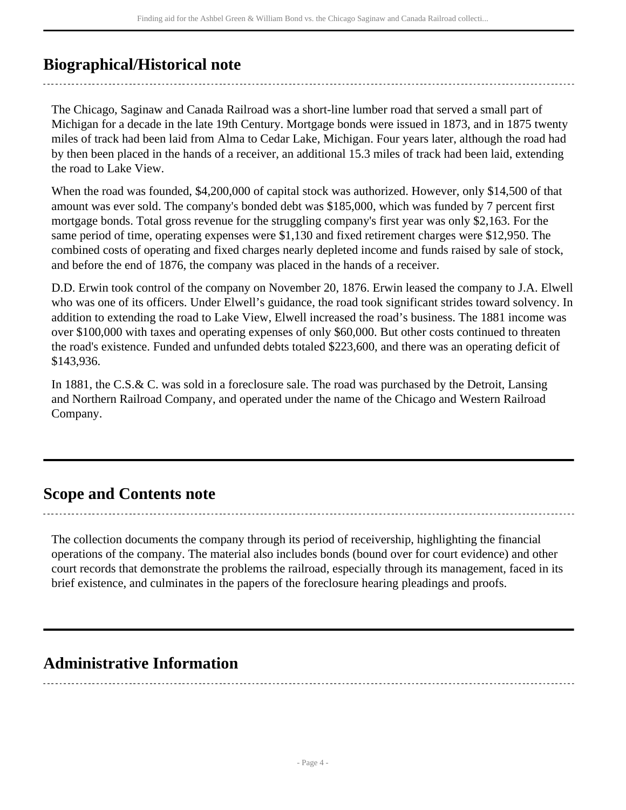## <span id="page-3-0"></span>**Biographical/Historical note**

The Chicago, Saginaw and Canada Railroad was a short-line lumber road that served a small part of Michigan for a decade in the late 19th Century. Mortgage bonds were issued in 1873, and in 1875 twenty miles of track had been laid from Alma to Cedar Lake, Michigan. Four years later, although the road had by then been placed in the hands of a receiver, an additional 15.3 miles of track had been laid, extending the road to Lake View.

When the road was founded, \$4,200,000 of capital stock was authorized. However, only \$14,500 of that amount was ever sold. The company's bonded debt was \$185,000, which was funded by 7 percent first mortgage bonds. Total gross revenue for the struggling company's first year was only \$2,163. For the same period of time, operating expenses were \$1,130 and fixed retirement charges were \$12,950. The combined costs of operating and fixed charges nearly depleted income and funds raised by sale of stock, and before the end of 1876, the company was placed in the hands of a receiver.

D.D. Erwin took control of the company on November 20, 1876. Erwin leased the company to J.A. Elwell who was one of its officers. Under Elwell's guidance, the road took significant strides toward solvency. In addition to extending the road to Lake View, Elwell increased the road's business. The 1881 income was over \$100,000 with taxes and operating expenses of only \$60,000. But other costs continued to threaten the road's existence. Funded and unfunded debts totaled \$223,600, and there was an operating deficit of \$143,936.

In 1881, the C.S.& C. was sold in a foreclosure sale. The road was purchased by the Detroit, Lansing and Northern Railroad Company, and operated under the name of the Chicago and Western Railroad Company.

### <span id="page-3-1"></span>**Scope and Contents note**

The collection documents the company through its period of receivership, highlighting the financial operations of the company. The material also includes bonds (bound over for court evidence) and other court records that demonstrate the problems the railroad, especially through its management, faced in its brief existence, and culminates in the papers of the foreclosure hearing pleadings and proofs.

### <span id="page-3-2"></span>**Administrative Information**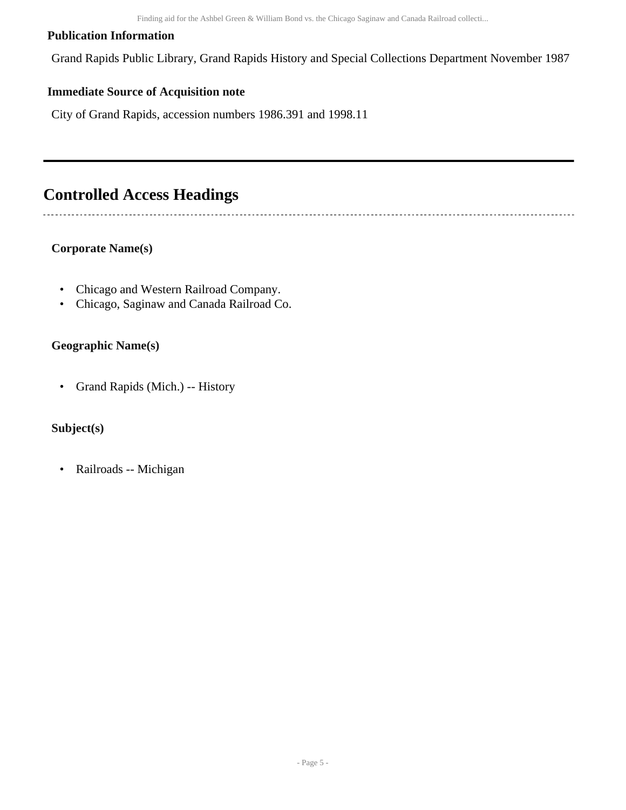Finding aid for the Ashbel Green & William Bond vs. the Chicago Saginaw and Canada Railroad collecti...

### **Publication Information**

Grand Rapids Public Library, Grand Rapids History and Special Collections Department November 1987

### **Immediate Source of Acquisition note**

City of Grand Rapids, accession numbers 1986.391 and 1998.11

### <span id="page-4-0"></span>**Controlled Access Headings**

### **Corporate Name(s)**

- Chicago and Western Railroad Company.
- Chicago, Saginaw and Canada Railroad Co.

#### **Geographic Name(s)**

• Grand Rapids (Mich.) -- History

### **Subject(s)**

• Railroads -- Michigan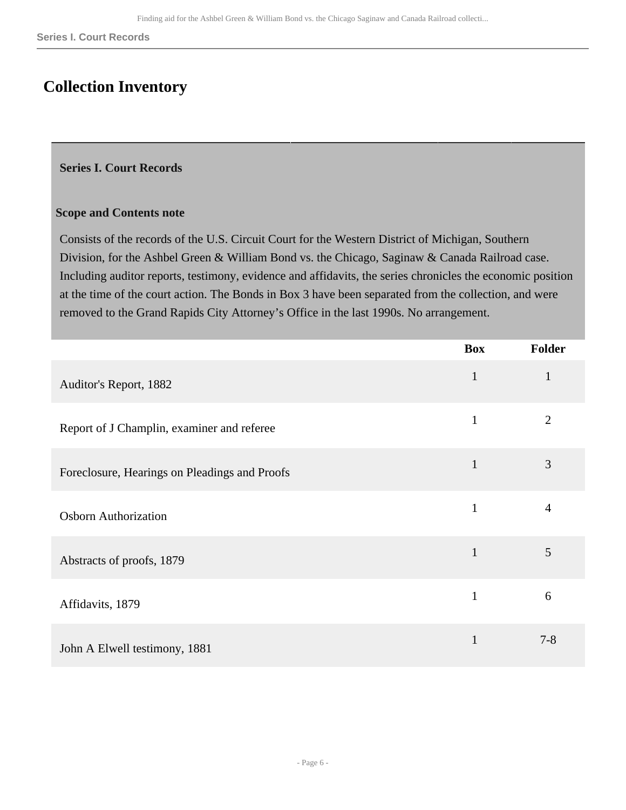### <span id="page-5-0"></span>**Collection Inventory**

### <span id="page-5-1"></span>**Series I. Court Records**

#### **Scope and Contents note**

Consists of the records of the U.S. Circuit Court for the Western District of Michigan, Southern Division, for the Ashbel Green & William Bond vs. the Chicago, Saginaw & Canada Railroad case. Including auditor reports, testimony, evidence and affidavits, the series chronicles the economic position at the time of the court action. The Bonds in Box 3 have been separated from the collection, and were removed to the Grand Rapids City Attorney's Office in the last 1990s. No arrangement.

|                                               | <b>Box</b>   | Folder         |
|-----------------------------------------------|--------------|----------------|
| Auditor's Report, 1882                        | $\mathbf{1}$ | $\mathbf{1}$   |
| Report of J Champlin, examiner and referee    | $\mathbf{1}$ | $\overline{2}$ |
| Foreclosure, Hearings on Pleadings and Proofs | $\mathbf{1}$ | 3              |
| <b>Osborn Authorization</b>                   | $\mathbf{1}$ | $\overline{4}$ |
| Abstracts of proofs, 1879                     | $\mathbf{1}$ | 5              |
| Affidavits, 1879                              | $\mathbf{1}$ | 6              |
| John A Elwell testimony, 1881                 | $\mathbf{1}$ | $7 - 8$        |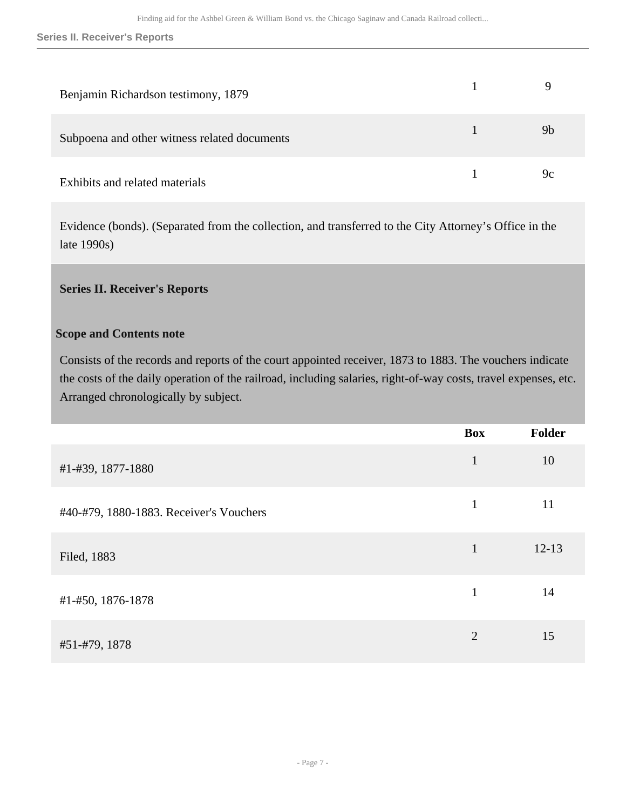| Benjamin Richardson testimony, 1879          |                |
|----------------------------------------------|----------------|
| Subpoena and other witness related documents | 9 <sub>b</sub> |
| Exhibits and related materials               | 9c             |

Evidence (bonds). (Separated from the collection, and transferred to the City Attorney's Office in the late 1990s)

### <span id="page-6-0"></span>**Series II. Receiver's Reports**

### **Scope and Contents note**

Consists of the records and reports of the court appointed receiver, 1873 to 1883. The vouchers indicate the costs of the daily operation of the railroad, including salaries, right-of-way costs, travel expenses, etc. Arranged chronologically by subject.

|                                         | <b>Box</b>     | Folder    |
|-----------------------------------------|----------------|-----------|
| #1-#39, 1877-1880                       | $\mathbf{1}$   | 10        |
| #40-#79, 1880-1883. Receiver's Vouchers | $\mathbf{1}$   | 11        |
| Filed, 1883                             | $\mathbf{1}$   | $12 - 13$ |
| #1-#50, 1876-1878                       | 1              | 14        |
| #51-#79, 1878                           | $\overline{2}$ | 15        |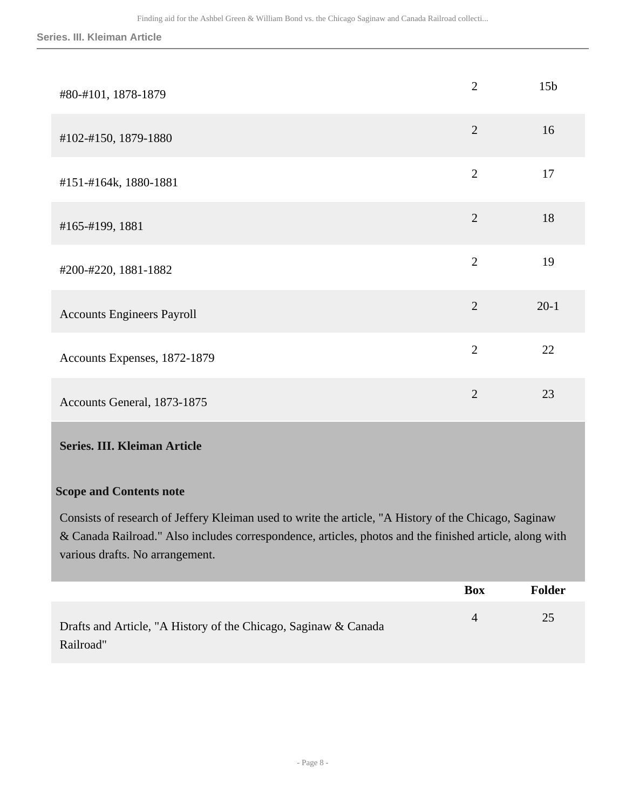**Series. III. Kleiman Article**

| #80-#101, 1878-1879               | $\overline{2}$ | 15 <sub>b</sub> |
|-----------------------------------|----------------|-----------------|
| #102-#150, 1879-1880              | $\overline{2}$ | 16              |
| #151-#164k, 1880-1881             | $\overline{2}$ | 17              |
| #165-#199, 1881                   | $\overline{2}$ | 18              |
| #200-#220, 1881-1882              | $\overline{2}$ | 19              |
| <b>Accounts Engineers Payroll</b> | $\overline{2}$ | $20-1$          |
| Accounts Expenses, 1872-1879      | $\overline{2}$ | 22              |
| Accounts General, 1873-1875       | $\overline{2}$ | 23              |

### <span id="page-7-0"></span>**Series. III. Kleiman Article**

#### **Scope and Contents note**

Consists of research of Jeffery Kleiman used to write the article, "A History of the Chicago, Saginaw & Canada Railroad." Also includes correspondence, articles, photos and the finished article, along with various drafts. No arrangement.

|                                                                 | <b>Box</b>     | Folder |
|-----------------------------------------------------------------|----------------|--------|
| Drafts and Article, "A History of the Chicago, Saginaw & Canada | $\overline{4}$ | 25     |
| Railroad"                                                       |                |        |